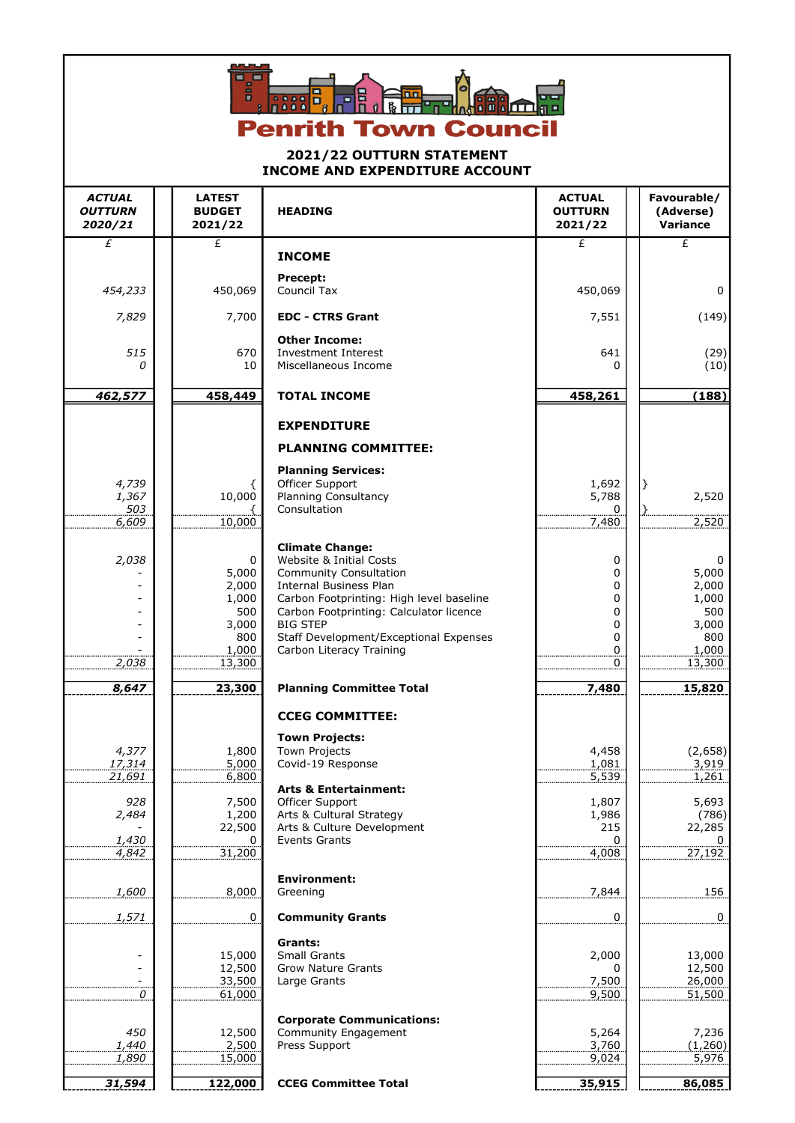

## 2021/22 OUTTURN STATEMENT INCOME AND EXPENDITURE ACCOUNT

| <b>ACTUAL</b><br><b>OUTTURN</b><br>2020/21                  | <b>LATEST</b><br><b>BUDGET</b><br>2021/22                                                  | <b>HEADING</b>                                                                                                                                                                                                                                                                                                                  | <b>ACTUAL</b><br><b>OUTTURN</b><br>2021/22                                | Favourable/<br>(Adverse)<br>Variance                                             |
|-------------------------------------------------------------|--------------------------------------------------------------------------------------------|---------------------------------------------------------------------------------------------------------------------------------------------------------------------------------------------------------------------------------------------------------------------------------------------------------------------------------|---------------------------------------------------------------------------|----------------------------------------------------------------------------------|
| £                                                           | £                                                                                          | <b>INCOME</b>                                                                                                                                                                                                                                                                                                                   | £                                                                         | $\overline{f}$                                                                   |
|                                                             |                                                                                            | Precept:                                                                                                                                                                                                                                                                                                                        |                                                                           |                                                                                  |
| 454,233                                                     | 450,069                                                                                    | Council Tax                                                                                                                                                                                                                                                                                                                     | 450,069                                                                   | 0                                                                                |
| 7,829                                                       | 7,700                                                                                      | <b>EDC - CTRS Grant</b>                                                                                                                                                                                                                                                                                                         | 7,551                                                                     | (149)                                                                            |
| 515<br>0                                                    | 670<br>10                                                                                  | <b>Other Income:</b><br><b>Investment Interest</b><br>Miscellaneous Income                                                                                                                                                                                                                                                      | 641                                                                       | (29)<br>(10)                                                                     |
| 462,577                                                     | 458,449                                                                                    | <b>TOTAL INCOME</b>                                                                                                                                                                                                                                                                                                             | 458,261                                                                   | (188)                                                                            |
|                                                             |                                                                                            | <b>EXPENDITURE</b>                                                                                                                                                                                                                                                                                                              |                                                                           |                                                                                  |
|                                                             |                                                                                            | <b>PLANNING COMMITTEE:</b>                                                                                                                                                                                                                                                                                                      |                                                                           |                                                                                  |
|                                                             |                                                                                            | <b>Planning Services:</b><br>Officer Support                                                                                                                                                                                                                                                                                    |                                                                           |                                                                                  |
| 4,739<br>1,367                                              | €<br>10,000                                                                                | Planning Consultancy                                                                                                                                                                                                                                                                                                            | 1,692<br>5,788                                                            | ł<br>2,520                                                                       |
| 503<br>6,609                                                | 10,000                                                                                     | Consultation                                                                                                                                                                                                                                                                                                                    | $\overline{0}$<br>7,480                                                   | 2,520                                                                            |
| 2,038<br>2,038<br>8,647                                     | $\mathbf 0$<br>5,000<br>2,000<br>1,000<br>500<br>3,000<br>800<br>1,000<br>13,300<br>23,300 | <b>Climate Change:</b><br>Website & Initial Costs<br>Community Consultation<br><b>Internal Business Plan</b><br>Carbon Footprinting: High level baseline<br>Carbon Footprinting: Calculator licence<br><b>BIG STEP</b><br>Staff Development/Exceptional Expenses<br>Carbon Literacy Training<br><b>Planning Committee Total</b> | 0<br>0<br>0<br>0<br>0<br>0<br>$\mathbf 0$<br>0<br>$\overline{0}$<br>7,480 | 0<br>5,000<br>2,000<br>1,000<br>500<br>3,000<br>800<br>1,000<br>13,300<br>15,820 |
|                                                             |                                                                                            | <b>CCEG COMMITTEE:</b>                                                                                                                                                                                                                                                                                                          |                                                                           |                                                                                  |
| 4,377<br>17,314<br>21.691<br>928<br>2,484<br>1,430<br>4,842 | 1,800<br>5,000<br>6,800<br>7,500<br>1,200<br>22,500<br>0<br>31,200                         | <b>Town Projects:</b><br><b>Town Projects</b><br>Covid-19 Response<br><b>Arts &amp; Entertainment:</b><br>Officer Support<br>Arts & Cultural Strategy<br>Arts & Culture Development<br><b>Events Grants</b>                                                                                                                     | 4,458<br>1,081<br>5,539<br>1,807<br>1,986<br>215<br>0<br>4,008            | (2,658)<br>3,919<br>1,261<br>5,693<br>(786)<br>22,285<br>0<br>27,192             |
| 1,600                                                       | 8,000                                                                                      | <b>Environment:</b><br>Greening                                                                                                                                                                                                                                                                                                 | 7,844                                                                     | 156                                                                              |
| 1,571                                                       | 0                                                                                          | <b>Community Grants</b>                                                                                                                                                                                                                                                                                                         | 0                                                                         | $\boldsymbol{0}$                                                                 |
| 0                                                           | 15,000<br>12,500<br>33,500<br>61,000                                                       | Grants:<br>Small Grants<br><b>Grow Nature Grants</b><br>Large Grants                                                                                                                                                                                                                                                            | 2,000<br>0<br>7,500<br>9,500                                              | 13,000<br>12,500<br>26,000<br>51,500                                             |
| 450<br>1,440<br>1,890<br>31,594                             | 12,500<br>2,500<br>15,000<br>122,000                                                       | <b>Corporate Communications:</b><br>Community Engagement<br>Press Support<br><b>CCEG Committee Total</b>                                                                                                                                                                                                                        | 5,264<br>3,760<br>9,024<br>35,915                                         | 7,236<br>(1,260)<br>5,976<br>86,085                                              |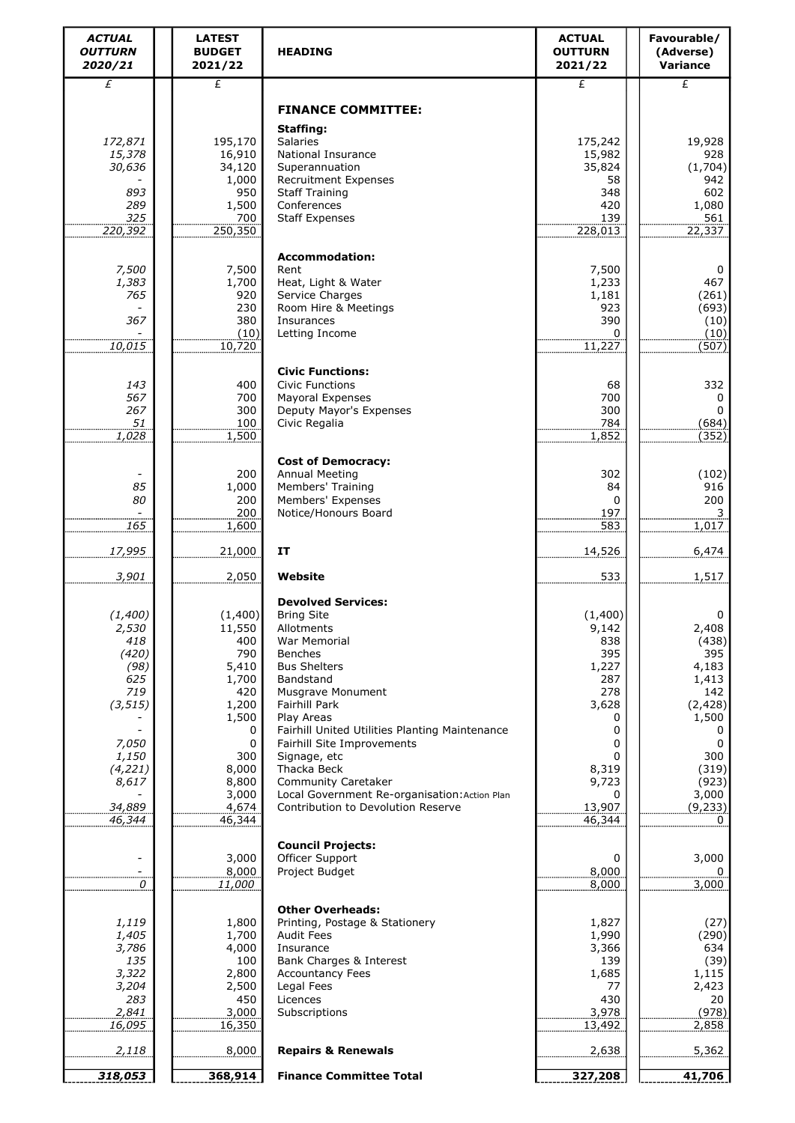| <b>ACTUAL</b><br><b>OUTTURN</b><br>2020/21 | <b>LATEST</b><br><b>BUDGET</b><br>2021/22 | <b>HEADING</b>                                               | <b>ACTUAL</b><br><b>OUTTURN</b><br>2021/22 | Favourable/<br>(Adverse)<br>Variance |
|--------------------------------------------|-------------------------------------------|--------------------------------------------------------------|--------------------------------------------|--------------------------------------|
| £                                          | £                                         |                                                              | £                                          | $\overline{f}$                       |
|                                            |                                           | <b>FINANCE COMMITTEE:</b><br>Staffing:                       |                                            |                                      |
| 172,871                                    | 195,170                                   | Salaries                                                     | 175,242                                    | 19,928                               |
| 15,378                                     | 16,910                                    | National Insurance                                           | 15,982                                     | 928                                  |
| 30,636                                     | 34,120<br>1,000                           | Superannuation<br><b>Recruitment Expenses</b>                | 35,824<br>58                               | (1,704)<br>942                       |
| 893                                        | 950                                       | <b>Staff Training</b>                                        | 348                                        | 602                                  |
| 289                                        | 1,500                                     | Conferences                                                  | 420                                        | 1,080                                |
| 325<br>220,392                             | 700<br>250,350                            | <b>Staff Expenses</b>                                        | 139<br>228,013                             | 561<br>22,337                        |
|                                            |                                           |                                                              |                                            |                                      |
| 7,500                                      | 7,500                                     | <b>Accommodation:</b><br>Rent                                | 7,500                                      | 0                                    |
| 1,383                                      | 1,700                                     | Heat, Light & Water                                          | 1,233                                      | 467                                  |
| 765                                        | 920                                       | Service Charges                                              | 1,181                                      | (261)                                |
| 367                                        | 230<br>380                                | Room Hire & Meetings<br>Insurances                           | 923<br>390                                 | (693)<br>(10)                        |
|                                            | (10)                                      | Letting Income                                               | 0                                          | (10)                                 |
| 10,015                                     | 10,720                                    |                                                              | 11,227                                     | (507)                                |
|                                            |                                           | <b>Civic Functions:</b>                                      |                                            |                                      |
| 143                                        | 400                                       | <b>Civic Functions</b>                                       | 68                                         | 332                                  |
| 567<br>267                                 | 700<br>300                                | Mayoral Expenses<br>Deputy Mayor's Expenses                  | 700<br>300                                 | 0<br>0                               |
| 51                                         | 100                                       | Civic Regalia                                                | 784                                        | (684)                                |
| 1,028                                      | 1,500                                     |                                                              | 1,852                                      | (352)                                |
|                                            |                                           | <b>Cost of Democracy:</b>                                    |                                            |                                      |
|                                            | 200                                       | Annual Meeting                                               | 302                                        | (102)                                |
| 85<br>80                                   | 1,000<br>200                              | Members' Training<br>Members' Expenses                       | 84<br>0                                    | 916<br>200                           |
|                                            | 200                                       | Notice/Honours Board                                         | 197                                        |                                      |
| 165                                        | 1,600                                     |                                                              | 583                                        | 1,017                                |
| 17,995                                     | 21,000                                    | <b>IT</b>                                                    | 14,526                                     | 6,474                                |
| 3,901                                      | 2,050                                     | Website                                                      | 533                                        | 1,517                                |
|                                            |                                           | <b>Devolved Services:</b>                                    |                                            |                                      |
| (1,400)<br>2,530                           | (1,400)<br>11,550                         | <b>Bring Site</b><br>Allotments                              | (1,400)<br>9,142                           | 0<br>2,408                           |
| 418                                        | 400                                       | War Memorial                                                 | 838                                        | (438)                                |
| (420)                                      | 790                                       | <b>Benches</b>                                               | 395                                        | 395                                  |
| (98)<br>625                                | 5,410<br>1,700                            | <b>Bus Shelters</b><br>Bandstand                             | 1,227<br>287                               | 4,183<br>1,413                       |
| 719                                        | 420                                       | Musgrave Monument                                            | 278                                        | 142                                  |
| (3, 515)                                   | 1,200                                     | <b>Fairhill Park</b>                                         | 3,628                                      | (2, 428)                             |
|                                            | 1,500<br>0                                | Play Areas<br>Fairhill United Utilities Planting Maintenance | 0<br>0                                     | 1,500<br>0                           |
| 7,050                                      | 0                                         | Fairhill Site Improvements                                   | 0                                          | 0                                    |
| 1,150                                      | 300                                       | Signage, etc                                                 |                                            | 300                                  |
| (4, 221)<br>8,617                          | 8,000<br>8,800                            | Thacka Beck<br>Community Caretaker                           | 8,319<br>9,723                             | (319)<br>(923)                       |
|                                            | 3,000                                     | Local Government Re-organisation: Action Plan                |                                            | 3,000                                |
| 34,889<br>46,344                           | 4,674<br>46,344                           | Contribution to Devolution Reserve                           | 13,907<br>46,344                           | (9, 233)<br>0                        |
|                                            |                                           |                                                              |                                            |                                      |
|                                            |                                           | <b>Council Projects:</b>                                     |                                            |                                      |
|                                            | 3,000<br>8,000                            | Officer Support<br>Project Budget                            | 0<br>8,000                                 | 3,000                                |
| 0                                          | 11,000                                    |                                                              | 8,000                                      | 3,000                                |
|                                            |                                           | <b>Other Overheads:</b>                                      |                                            |                                      |
| 1,119<br>1,405                             | 1,800<br>1,700                            | Printing, Postage & Stationery<br><b>Audit Fees</b>          | 1,827<br>1,990                             | (27)<br>(290)                        |
| 3,786                                      | 4,000                                     | Insurance                                                    | 3,366                                      | 634                                  |
| 135                                        | 100                                       | Bank Charges & Interest                                      | 139                                        | (39)                                 |
| 3,322<br>3,204                             | 2,800                                     | <b>Accountancy Fees</b><br>Legal Fees                        | 1,685<br>77                                | 1,115                                |
| 283                                        | 2,500<br>450                              | Licences                                                     | 430                                        | 2,423<br>20                          |
| 2,841                                      | 3,000                                     | Subscriptions                                                | 3,978                                      | (978)                                |
| 16,095                                     | 16,350                                    |                                                              | 13,492                                     | 2,858                                |
| 2,118                                      | 8,000                                     | <b>Repairs &amp; Renewals</b>                                | 2,638                                      | 5,362                                |
| 318,053                                    | 368,914                                   | <b>Finance Committee Total</b>                               | 327,208                                    | 41,706                               |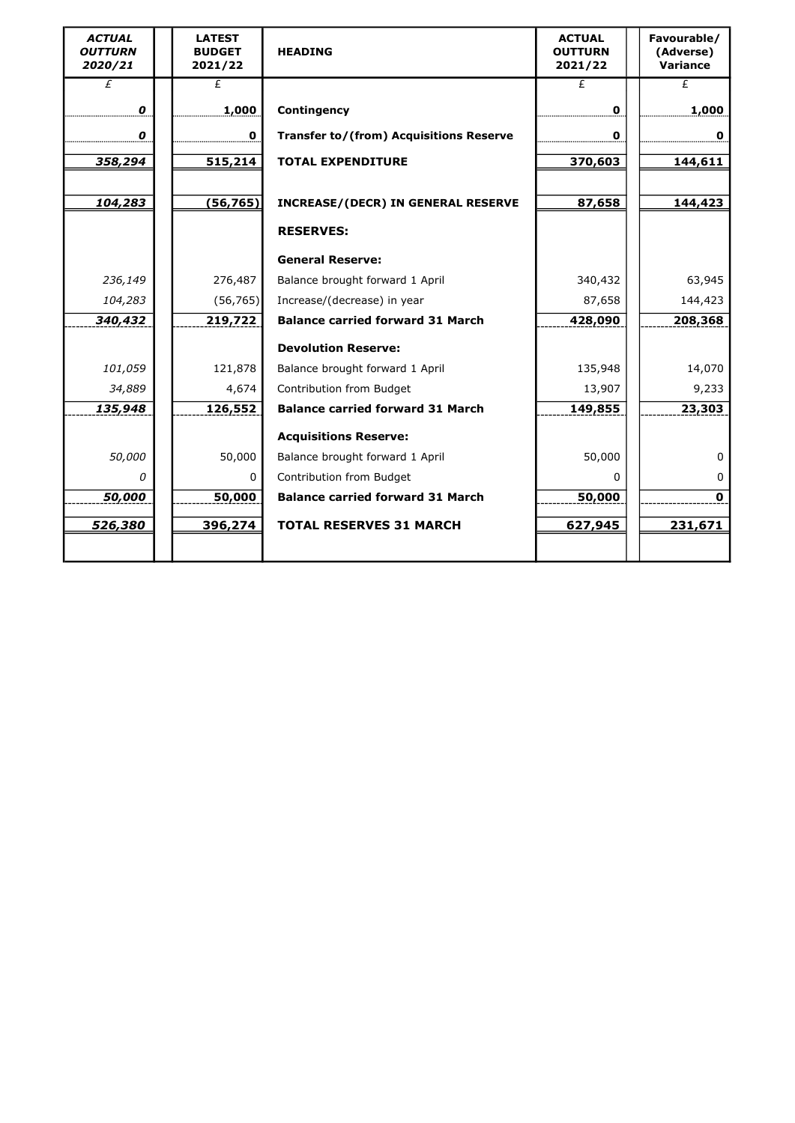| <b>ACTUAL</b><br><b>OUTTURN</b><br>2020/21 | <b>LATEST</b><br><b>BUDGET</b><br>2021/22 | <b>HEADING</b>                          | <b>ACTUAL</b><br><b>OUTTURN</b><br>2021/22 | Favourable/<br>(Adverse)<br>Variance |
|--------------------------------------------|-------------------------------------------|-----------------------------------------|--------------------------------------------|--------------------------------------|
| £                                          | £                                         |                                         | £                                          | £                                    |
| 0                                          | 1,000                                     | Contingency                             | 0                                          | 1,000                                |
| 0                                          | $\mathbf 0$                               | Transfer to/(from) Acquisitions Reserve | 0                                          | 0                                    |
| 358,294                                    | 515,214                                   | <b>TOTAL EXPENDITURE</b>                | 370,603                                    | 144,611                              |
|                                            |                                           |                                         |                                            |                                      |
| 104,283                                    | (56, 765)                                 | INCREASE/(DECR) IN GENERAL RESERVE      | 87,658                                     | 144,423                              |
|                                            |                                           | <b>RESERVES:</b>                        |                                            |                                      |
|                                            |                                           | <b>General Reserve:</b>                 |                                            |                                      |
| 236,149                                    | 276,487                                   | Balance brought forward 1 April         | 340,432                                    | 63,945                               |
| 104,283                                    | (56, 765)                                 | Increase/(decrease) in year             | 87,658                                     | 144,423                              |
| 340,432                                    | 219,722                                   | <b>Balance carried forward 31 March</b> | 428,090                                    | 208,368                              |
|                                            |                                           | <b>Devolution Reserve:</b>              |                                            |                                      |
| 101,059                                    | 121,878                                   | Balance brought forward 1 April         | 135,948                                    | 14,070                               |
| 34,889                                     | 4,674                                     | Contribution from Budget                | 13,907                                     | 9,233                                |
| 135,948                                    | 126,552                                   | <b>Balance carried forward 31 March</b> | 149,855                                    | 23,303                               |
|                                            |                                           | <b>Acquisitions Reserve:</b>            |                                            |                                      |
| 50,000                                     | 50,000                                    | Balance brought forward 1 April         | 50,000                                     | 0                                    |
| 0                                          | 0                                         | Contribution from Budget                | <sup>0</sup>                               | 0                                    |
| 50,000                                     | 50,000                                    | <b>Balance carried forward 31 March</b> | 50,000                                     | $\mathbf 0$                          |
| 526,380                                    | 396,274                                   | <b>TOTAL RESERVES 31 MARCH</b>          | 627,945                                    | 231,671                              |
|                                            |                                           |                                         |                                            |                                      |